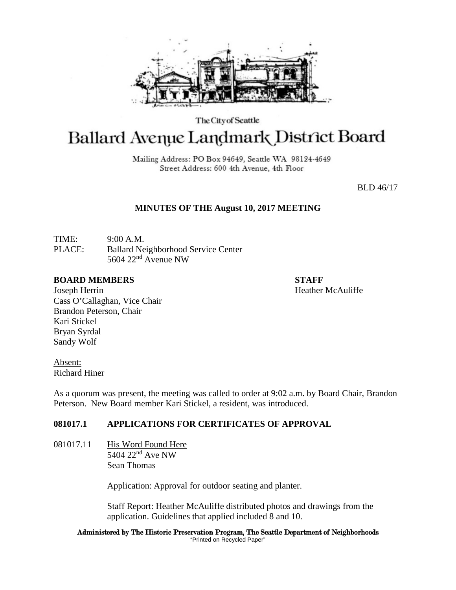

The City of Seattle

# **Ballard Avenue Landmark District Board**

Mailing Address: PO Box 94649, Seattle WA 98124-4649 Street Address: 600 4th Avenue, 4th Floor

BLD 46/17

### **MINUTES OF THE August 10, 2017 MEETING**

TIME: 9:00 A.M. PLACE: Ballard Neighborhood Service Center 5604 22nd Avenue NW

#### **BOARD MEMBERS STAFF**

Joseph Herrin **Heather McAuliffe Heather McAuliffe** Cass O'Callaghan, Vice Chair Brandon Peterson, Chair Kari Stickel Bryan Syrdal Sandy Wolf

Absent: Richard Hiner

As a quorum was present, the meeting was called to order at 9:02 a.m. by Board Chair, Brandon Peterson. New Board member Kari Stickel, a resident, was introduced.

## **081017.1 APPLICATIONS FOR CERTIFICATES OF APPROVAL**

081017.11 His Word Found Here  $5404$   $22<sup>nd</sup>$  Ave NW Sean Thomas

Application: Approval for outdoor seating and planter.

Staff Report: Heather McAuliffe distributed photos and drawings from the application. Guidelines that applied included 8 and 10.

Administered by The Historic Preservation Program, The Seattle Department of Neighborhoods "Printed on Recycled Paper"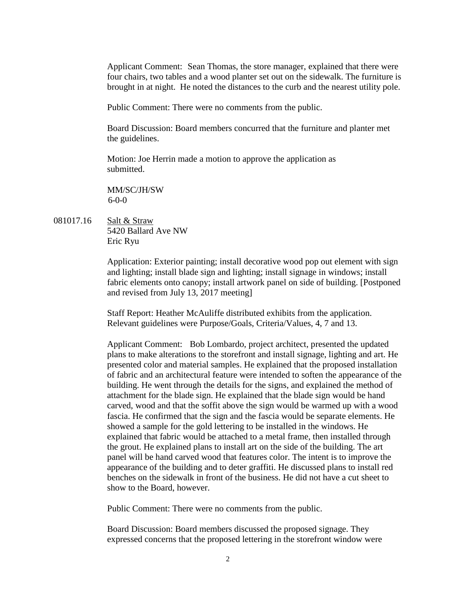Applicant Comment: Sean Thomas, the store manager, explained that there were four chairs, two tables and a wood planter set out on the sidewalk. The furniture is brought in at night. He noted the distances to the curb and the nearest utility pole.

Public Comment: There were no comments from the public.

Board Discussion: Board members concurred that the furniture and planter met the guidelines.

Motion: Joe Herrin made a motion to approve the application as submitted.

MM/SC/JH/SW 6-0-0

081017.16 Salt & Straw 5420 Ballard Ave NW Eric Ryu

> Application: Exterior painting; install decorative wood pop out element with sign and lighting; install blade sign and lighting; install signage in windows; install fabric elements onto canopy; install artwork panel on side of building. [Postponed and revised from July 13, 2017 meeting]

Staff Report: Heather McAuliffe distributed exhibits from the application. Relevant guidelines were Purpose/Goals, Criteria/Values, 4, 7 and 13.

Applicant Comment: Bob Lombardo, project architect, presented the updated plans to make alterations to the storefront and install signage, lighting and art. He presented color and material samples. He explained that the proposed installation of fabric and an architectural feature were intended to soften the appearance of the building. He went through the details for the signs, and explained the method of attachment for the blade sign. He explained that the blade sign would be hand carved, wood and that the soffit above the sign would be warmed up with a wood fascia. He confirmed that the sign and the fascia would be separate elements. He showed a sample for the gold lettering to be installed in the windows. He explained that fabric would be attached to a metal frame, then installed through the grout. He explained plans to install art on the side of the building. The art panel will be hand carved wood that features color. The intent is to improve the appearance of the building and to deter graffiti. He discussed plans to install red benches on the sidewalk in front of the business. He did not have a cut sheet to show to the Board, however.

Public Comment: There were no comments from the public.

Board Discussion: Board members discussed the proposed signage. They expressed concerns that the proposed lettering in the storefront window were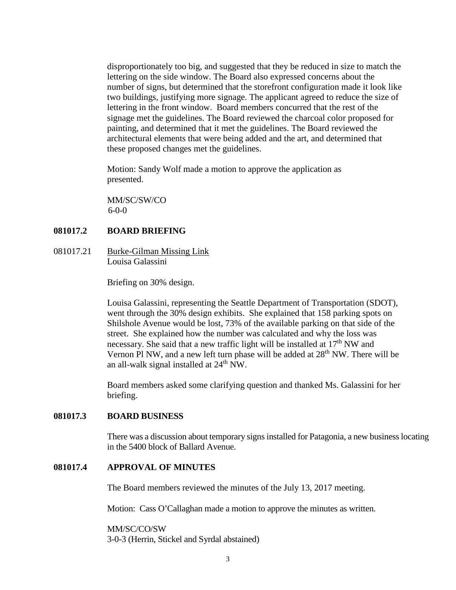disproportionately too big, and suggested that they be reduced in size to match the lettering on the side window. The Board also expressed concerns about the number of signs, but determined that the storefront configuration made it look like two buildings, justifying more signage. The applicant agreed to reduce the size of lettering in the front window. Board members concurred that the rest of the signage met the guidelines. The Board reviewed the charcoal color proposed for painting, and determined that it met the guidelines. The Board reviewed the architectural elements that were being added and the art, and determined that these proposed changes met the guidelines.

Motion: Sandy Wolf made a motion to approve the application as presented.

MM/SC/SW/CO  $6-0-0$ 

#### **081017.2 BOARD BRIEFING**

081017.21 Burke-Gilman Missing Link Louisa Galassini

Briefing on 30% design.

Louisa Galassini, representing the Seattle Department of Transportation (SDOT), went through the 30% design exhibits. She explained that 158 parking spots on Shilshole Avenue would be lost, 73% of the available parking on that side of the street. She explained how the number was calculated and why the loss was necessary. She said that a new traffic light will be installed at  $17<sup>th</sup>$  NW and Vernon Pl NW, and a new left turn phase will be added at 28<sup>th</sup> NW. There will be an all-walk signal installed at  $24<sup>th</sup>$  NW.

Board members asked some clarifying question and thanked Ms. Galassini for her briefing.

#### **081017.3 BOARD BUSINESS**

There was a discussion about temporary signs installed for Patagonia, a new business locating in the 5400 block of Ballard Avenue.

### **081017.4 APPROVAL OF MINUTES**

The Board members reviewed the minutes of the July 13, 2017 meeting.

Motion: Cass O'Callaghan made a motion to approve the minutes as written.

MM/SC/CO/SW 3-0-3 (Herrin, Stickel and Syrdal abstained)